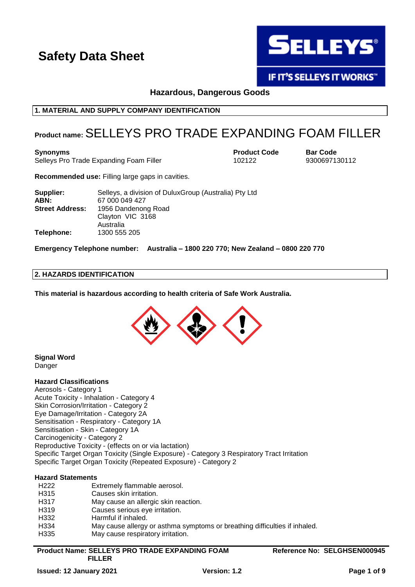

**IF IT'S SELLEYS IT WORKS"** 

**Hazardous, Dangerous Goods**

## **1. MATERIAL AND SUPPLY COMPANY IDENTIFICATION**

## **Product name:**SELLEYS PRO TRADE EXPANDING FOAM FILLER

**Synonyms Product Code Bar Code**

Selleys Pro Trade Expanding Foam Filler 102122 9300697130112

**Recommended use:** Filling large gaps in cavities.

| Supplier:                                     | Selleys, a division of DuluxGroup (Australia) Pty Ltd |
|-----------------------------------------------|-------------------------------------------------------|
| ABN:                                          | 67 000 049 427                                        |
| <b>Street Address:</b><br>1956 Dandenong Road |                                                       |
|                                               | Clayton VIC 3168                                      |
|                                               | Australia                                             |
| Telephone:                                    | 1300 555 205                                          |

**Emergency Telephone number: Australia – 1800 220 770; New Zealand – 0800 220 770**

## **2. HAZARDS IDENTIFICATION**

**This material is hazardous according to health criteria of Safe Work Australia.**



**Signal Word** Danger

## **Hazard Classifications**

Aerosols - Category 1 Acute Toxicity - Inhalation - Category 4 Skin Corrosion/Irritation - Category 2 Eye Damage/Irritation - Category 2A Sensitisation - Respiratory - Category 1A Sensitisation - Skin - Category 1A Carcinogenicity - Category 2 Reproductive Toxicity - (effects on or via lactation) Specific Target Organ Toxicity (Single Exposure) - Category 3 Respiratory Tract Irritation Specific Target Organ Toxicity (Repeated Exposure) - Category 2

## **Hazard Statements**

| H <sub>222</sub>  | Extremely flammable aerosol.                                               |
|-------------------|----------------------------------------------------------------------------|
| H <sub>3</sub> 15 | Causes skin irritation.                                                    |
| H <sub>317</sub>  | May cause an allergic skin reaction.                                       |
| H <sub>3</sub> 19 | Causes serious eye irritation.                                             |
| H <sub>332</sub>  | Harmful if inhaled.                                                        |
| H334              | May cause allergy or asthma symptoms or breathing difficulties if inhaled. |
| H335              | May cause respiratory irritation.                                          |
|                   |                                                                            |

**Product Name: SELLEYS PRO TRADE EXPANDING FOAM FILLER**

**Reference No: SELGHSEN000945**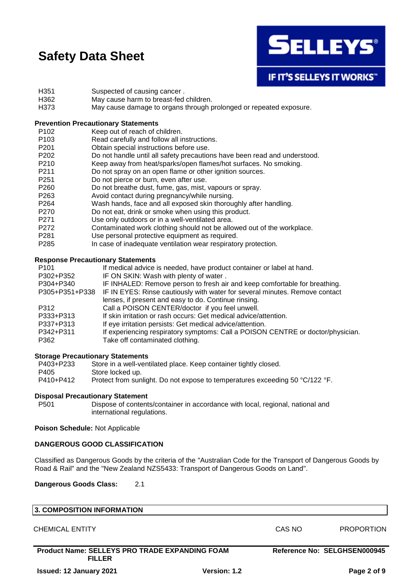

**IF IT'S SELLEYS IT WORKS"** 

- H351 Suspected of causing cancer.
- H362 May cause harm to breast-fed children.
- H373 May cause damage to organs through prolonged or repeated exposure.

## **Prevention Precautionary Statements**

- P102 Keep out of reach of children.
- P103 Read carefully and follow all instructions.
- P201 Obtain special instructions before use.
- P202 Do not handle until all safety precautions have been read and understood.
- P210 Keep away from heat/sparks/open flames/hot surfaces. No smoking.<br>P211 Do not spray on an open flame or other ignition sources.
- Do not spray on an open flame or other ignition sources.
- P251 Do not pierce or burn, even after use.
- P260 Do not breathe dust, fume, gas, mist, vapours or spray.
- P263 Avoid contact during pregnancy/while nursing.
- P264 Wash hands, face and all exposed skin thoroughly after handling.
- P270 Do not eat, drink or smoke when using this product.
- P271 Use only outdoors or in a well-ventilated area.
- P272 Contaminated work clothing should not be allowed out of the workplace.
- P281 Use personal protective equipment as required.
- P285 In case of inadequate ventilation wear respiratory protection.

#### **Response Precautionary Statements**

| P <sub>101</sub> | If medical advice is needed, have product container or label at hand.           |
|------------------|---------------------------------------------------------------------------------|
| P302+P352        | IF ON SKIN: Wash with plenty of water.                                          |
| P304+P340        | IF INHALED: Remove person to fresh air and keep comfortable for breathing.      |
| P305+P351+P338   | IF IN EYES: Rinse cautiously with water for several minutes. Remove contact     |
|                  | lenses, if present and easy to do. Continue rinsing.                            |
| P312             | Call a POISON CENTER/doctor if you feel unwell.                                 |
| P333+P313        | If skin irritation or rash occurs: Get medical advice/attention.                |
| P337+P313        | If eye irritation persists: Get medical advice/attention.                       |
| P342+P311        | If experiencing respiratory symptoms: Call a POISON CENTRE or doctor/physician. |
| P362             | Take off contaminated clothing.                                                 |
|                  |                                                                                 |

#### **Storage Precautionary Statements**

| P403+P233 | Store in a well-ventilated place. Keep container tightly closed.             |
|-----------|------------------------------------------------------------------------------|
| P405      | Store locked up.                                                             |
| P410+P412 | Protect from sunlight. Do not expose to temperatures exceeding 50 °C/122 °F. |

#### **Disposal Precautionary Statement**

P501 Dispose of contents/container in accordance with local, regional, national and international regulations.

#### **Poison Schedule:** Not Applicable

#### **DANGEROUS GOOD CLASSIFICATION**

Classified as Dangerous Goods by the criteria of the "Australian Code for the Transport of Dangerous Goods by Road & Rail" and the "New Zealand NZS5433: Transport of Dangerous Goods on Land".

**Dangerous Goods Class:** 2.1

| 3. COMPOSITION INFORMATION                                             |              |        |                              |
|------------------------------------------------------------------------|--------------|--------|------------------------------|
| <b>CHEMICAL ENTITY</b>                                                 |              | CAS NO | <b>PROPORTION</b>            |
| <b>Product Name: SELLEYS PRO TRADE EXPANDING FOAM</b><br><b>FILLER</b> |              |        | Reference No: SELGHSEN000945 |
| <b>Issued: 12 January 2021</b>                                         | Version: 1.2 |        | Page 2 of 9                  |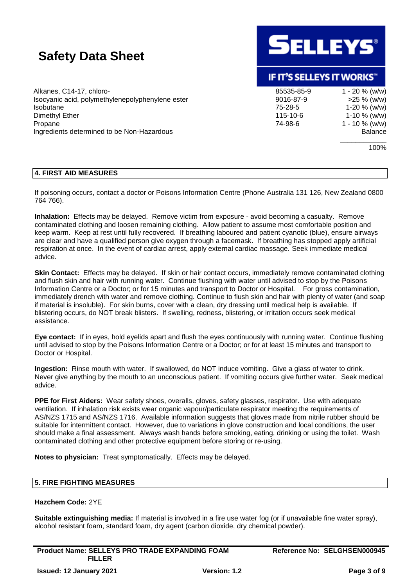Alkanes, C14-17, chloro- 85535-85-9 1 - 20 % (w/w) Isocyanic acid, polymethylenepolyphenylene ester 9016-87-9 >25 % (w/w) Isobutane 75-28-5 1-20 % (w/w) Dimethyl Ether 115-10-6 1-10 % (w/w) Propane 1 - 10 % (w/w) Ingredients determined to be Non-Hazardous Balance



## IF IT'S SELLEYS IT WORKS"

\_\_\_\_\_\_\_\_\_\_\_\_

100%

## **4. FIRST AID MEASURES**

If poisoning occurs, contact a doctor or Poisons Information Centre (Phone Australia 131 126, New Zealand 0800 764 766).

**Inhalation:** Effects may be delayed. Remove victim from exposure - avoid becoming a casualty. Remove contaminated clothing and loosen remaining clothing. Allow patient to assume most comfortable position and keep warm. Keep at rest until fully recovered. If breathing laboured and patient cyanotic (blue), ensure airways are clear and have a qualified person give oxygen through a facemask. If breathing has stopped apply artificial respiration at once. In the event of cardiac arrest, apply external cardiac massage. Seek immediate medical advice.

**Skin Contact:** Effects may be delayed. If skin or hair contact occurs, immediately remove contaminated clothing and flush skin and hair with running water. Continue flushing with water until advised to stop by the Poisons Information Centre or a Doctor; or for 15 minutes and transport to Doctor or Hospital. For gross contamination, immediately drench with water and remove clothing. Continue to flush skin and hair with plenty of water (and soap if material is insoluble). For skin burns, cover with a clean, dry dressing until medical help is available. If blistering occurs, do NOT break blisters. If swelling, redness, blistering, or irritation occurs seek medical assistance.

**Eye contact:** If in eyes, hold eyelids apart and flush the eyes continuously with running water. Continue flushing until advised to stop by the Poisons Information Centre or a Doctor; or for at least 15 minutes and transport to Doctor or Hospital.

**Ingestion:** Rinse mouth with water. If swallowed, do NOT induce vomiting. Give a glass of water to drink. Never give anything by the mouth to an unconscious patient. If vomiting occurs give further water. Seek medical advice.

**PPE for First Aiders:** Wear safety shoes, overalls, gloves, safety glasses, respirator. Use with adequate ventilation. If inhalation risk exists wear organic vapour/particulate respirator meeting the requirements of AS/NZS 1715 and AS/NZS 1716. Available information suggests that gloves made from nitrile rubber should be suitable for intermittent contact. However, due to variations in glove construction and local conditions, the user should make a final assessment. Always wash hands before smoking, eating, drinking or using the toilet. Wash contaminated clothing and other protective equipment before storing or re-using.

**Notes to physician:** Treat symptomatically. Effects may be delayed.

## **5. FIRE FIGHTING MEASURES**

## **Hazchem Code:** 2YE

**Suitable extinguishing media:** If material is involved in a fire use water fog (or if unavailable fine water spray), alcohol resistant foam, standard foam, dry agent (carbon dioxide, dry chemical powder).

**Product Name: SELLEYS PRO TRADE EXPANDING FOAM FILLER**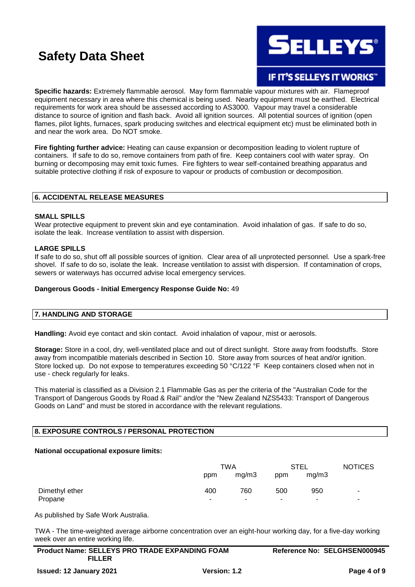

## **IF IT'S SELLEYS IT WORKS"**

**Specific hazards:** Extremely flammable aerosol. May form flammable vapour mixtures with air. Flameproof equipment necessary in area where this chemical is being used. Nearby equipment must be earthed. Electrical requirements for work area should be assessed according to AS3000. Vapour may travel a considerable distance to source of ignition and flash back. Avoid all ignition sources. All potential sources of ignition (open flames, pilot lights, furnaces, spark producing switches and electrical equipment etc) must be eliminated both in and near the work area. Do NOT smoke.

**Fire fighting further advice:** Heating can cause expansion or decomposition leading to violent rupture of containers. If safe to do so, remove containers from path of fire. Keep containers cool with water spray. On burning or decomposing may emit toxic fumes. Fire fighters to wear self-contained breathing apparatus and suitable protective clothing if risk of exposure to vapour or products of combustion or decomposition.

## **6. ACCIDENTAL RELEASE MEASURES**

#### **SMALL SPILLS**

Wear protective equipment to prevent skin and eye contamination. Avoid inhalation of gas. If safe to do so, isolate the leak. Increase ventilation to assist with dispersion.

#### **LARGE SPILLS**

If safe to do so, shut off all possible sources of ignition. Clear area of all unprotected personnel. Use a spark-free shovel. If safe to do so, isolate the leak. Increase ventilation to assist with dispersion. If contamination of crops, sewers or waterways has occurred advise local emergency services.

#### **Dangerous Goods - Initial Emergency Response Guide No:** 49

#### **7. HANDLING AND STORAGE**

**Handling:** Avoid eye contact and skin contact. Avoid inhalation of vapour, mist or aerosols.

**Storage:** Store in a cool, dry, well-ventilated place and out of direct sunlight. Store away from foodstuffs. Store away from incompatible materials described in Section 10. Store away from sources of heat and/or ignition. Store locked up. Do not expose to temperatures exceeding 50 °C/122 °F Keep containers closed when not in use - check regularly for leaks.

This material is classified as a Division 2.1 Flammable Gas as per the criteria of the "Australian Code for the Transport of Dangerous Goods by Road & Rail" and/or the "New Zealand NZS5433: Transport of Dangerous Goods on Land" and must be stored in accordance with the relevant regulations.

## **8. EXPOSURE CONTROLS / PERSONAL PROTECTION**

#### **National occupational exposure limits:**

|                | TWA |       | <b>STEL</b> |       | <b>NOTICES</b>           |
|----------------|-----|-------|-------------|-------|--------------------------|
|                | ppm | mg/m3 | ppm         | mg/m3 |                          |
| Dimethyl ether | 400 | 760   | 500         | 950   | $\sim$                   |
| Propane        |     |       |             |       | $\overline{\phantom{a}}$ |

As published by Safe Work Australia.

TWA - The time-weighted average airborne concentration over an eight-hour working day, for a five-day working week over an entire working life.

| <b>Product Name: SELLEYS PRO TRADE EXPANDING FOAM</b> | Reference No: SELGHSEN000945 |
|-------------------------------------------------------|------------------------------|
| <b>FILLER</b>                                         |                              |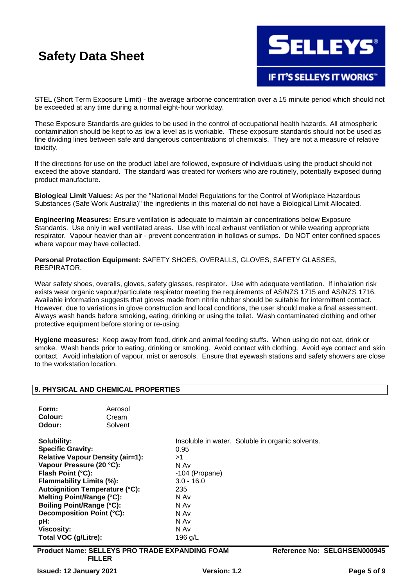

STEL (Short Term Exposure Limit) - the average airborne concentration over a 15 minute period which should not be exceeded at any time during a normal eight-hour workday.

These Exposure Standards are guides to be used in the control of occupational health hazards. All atmospheric contamination should be kept to as low a level as is workable. These exposure standards should not be used as fine dividing lines between safe and dangerous concentrations of chemicals. They are not a measure of relative toxicity.

If the directions for use on the product label are followed, exposure of individuals using the product should not exceed the above standard. The standard was created for workers who are routinely, potentially exposed during product manufacture.

**Biological Limit Values:** As per the "National Model Regulations for the Control of Workplace Hazardous Substances (Safe Work Australia)" the ingredients in this material do not have a Biological Limit Allocated.

**Engineering Measures:** Ensure ventilation is adequate to maintain air concentrations below Exposure Standards. Use only in well ventilated areas. Use with local exhaust ventilation or while wearing appropriate respirator. Vapour heavier than air - prevent concentration in hollows or sumps. Do NOT enter confined spaces where vapour may have collected.

**Personal Protection Equipment:** SAFETY SHOES, OVERALLS, GLOVES, SAFETY GLASSES, RESPIRATOR.

Wear safety shoes, overalls, gloves, safety glasses, respirator. Use with adequate ventilation. If inhalation risk exists wear organic vapour/particulate respirator meeting the requirements of AS/NZS 1715 and AS/NZS 1716. Available information suggests that gloves made from nitrile rubber should be suitable for intermittent contact. However, due to variations in glove construction and local conditions, the user should make a final assessment. Always wash hands before smoking, eating, drinking or using the toilet. Wash contaminated clothing and other protective equipment before storing or re-using.

**Hygiene measures:** Keep away from food, drink and animal feeding stuffs. When using do not eat, drink or smoke. Wash hands prior to eating, drinking or smoking. Avoid contact with clothing. Avoid eye contact and skin contact. Avoid inhalation of vapour, mist or aerosols. Ensure that eyewash stations and safety showers are close to the workstation location.

## **9. PHYSICAL AND CHEMICAL PROPERTIES**

| Form:   | Aerosol |
|---------|---------|
| Colour: | Cream   |
| Odour:  | Solvent |

**Solubility: Insoluble in water.** Soluble in organic solvents. **Specific Gravity:** 0.95 **Relative Vapour Density (air=1):** >1 **Vapour Pressure (20 °C):** N Av **Flash Point (°C):** -104 (Propane) **Flammability Limits (%):** 3.0 - 16.0 **Autoignition Temperature (°C):** 235 **Melting Point/Range (°C):** N Av **Boiling Point/Range (°C):** N Av **Decomposition Point (°C):** N Av **pH:** N Av **Viscosity:** N Av Total VOC (g/Litre): 196 g/L

**Product Name: SELLEYS PRO TRADE EXPANDING FOAM FILLER**

**Reference No: SELGHSEN000945**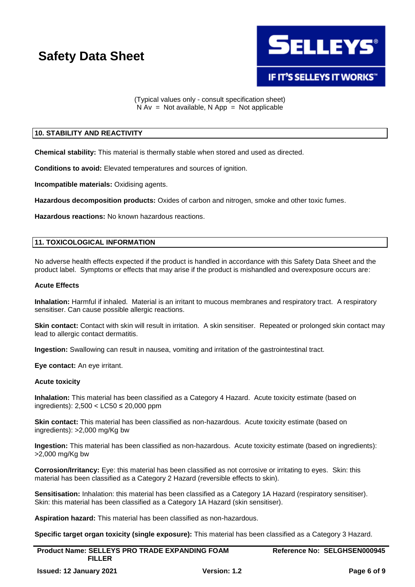

(Typical values only - consult specification sheet)  $N Av = Not available, N App = Not applicable$ 

### **10. STABILITY AND REACTIVITY**

**Chemical stability:** This material is thermally stable when stored and used as directed.

**Conditions to avoid:** Elevated temperatures and sources of ignition.

**Incompatible materials:** Oxidising agents.

**Hazardous decomposition products:** Oxides of carbon and nitrogen, smoke and other toxic fumes.

**Hazardous reactions:** No known hazardous reactions.

## **11. TOXICOLOGICAL INFORMATION**

No adverse health effects expected if the product is handled in accordance with this Safety Data Sheet and the product label. Symptoms or effects that may arise if the product is mishandled and overexposure occurs are:

## **Acute Effects**

**Inhalation:** Harmful if inhaled. Material is an irritant to mucous membranes and respiratory tract. A respiratory sensitiser. Can cause possible allergic reactions.

**Skin contact:** Contact with skin will result in irritation. A skin sensitiser. Repeated or prolonged skin contact may lead to allergic contact dermatitis.

**Ingestion:** Swallowing can result in nausea, vomiting and irritation of the gastrointestinal tract.

**Eye contact:** An eye irritant.

### **Acute toxicity**

**Inhalation:** This material has been classified as a Category 4 Hazard. Acute toxicity estimate (based on ingredients): 2,500 < LC50 ≤ 20,000 ppm

**Skin contact:** This material has been classified as non-hazardous. Acute toxicity estimate (based on ingredients): >2,000 mg/Kg bw

**Ingestion:** This material has been classified as non-hazardous. Acute toxicity estimate (based on ingredients): >2,000 mg/Kg bw

**Corrosion/Irritancy:** Eye: this material has been classified as not corrosive or irritating to eyes. Skin: this material has been classified as a Category 2 Hazard (reversible effects to skin).

Sensitisation: Inhalation: this material has been classified as a Category 1A Hazard (respiratory sensitiser). Skin: this material has been classified as a Category 1A Hazard (skin sensitiser).

**Aspiration hazard:** This material has been classified as non-hazardous.

**Specific target organ toxicity (single exposure):** This material has been classified as a Category 3 Hazard.

| <b>Product Name: SELLEYS PRO TRADE EXPANDING FOAM</b> |              | Reference No: SELGHSEN000945 |             |
|-------------------------------------------------------|--------------|------------------------------|-------------|
| <b>FILLER</b>                                         |              |                              |             |
| <b>Issued: 12 January 2021</b>                        | Version: 1.2 |                              | Page 6 of 9 |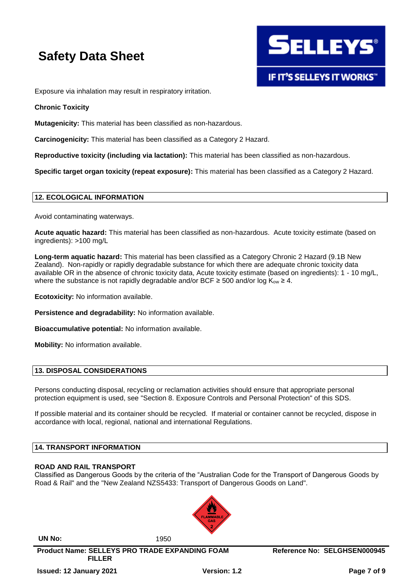

Exposure via inhalation may result in respiratory irritation.

## **Chronic Toxicity**

**Mutagenicity:** This material has been classified as non-hazardous.

**Carcinogenicity:** This material has been classified as a Category 2 Hazard.

**Reproductive toxicity (including via lactation):** This material has been classified as non-hazardous.

**Specific target organ toxicity (repeat exposure):** This material has been classified as a Category 2 Hazard.

## **12. ECOLOGICAL INFORMATION**

Avoid contaminating waterways.

**Acute aquatic hazard:** This material has been classified as non-hazardous. Acute toxicity estimate (based on ingredients): >100 mg/L

**Long-term aquatic hazard:** This material has been classified as a Category Chronic 2 Hazard (9.1B New Zealand). Non-rapidly or rapidly degradable substance for which there are adequate chronic toxicity data available OR in the absence of chronic toxicity data, Acute toxicity estimate (based on ingredients): 1 - 10 mg/L, where the substance is not rapidly degradable and/or BCF  $\geq$  500 and/or log K<sub>ow</sub>  $\geq$  4.

**Ecotoxicity:** No information available.

**Persistence and degradability:** No information available.

**Bioaccumulative potential:** No information available.

**Mobility:** No information available.

## **13. DISPOSAL CONSIDERATIONS**

Persons conducting disposal, recycling or reclamation activities should ensure that appropriate personal protection equipment is used, see "Section 8. Exposure Controls and Personal Protection" of this SDS.

If possible material and its container should be recycled. If material or container cannot be recycled, dispose in accordance with local, regional, national and international Regulations.

#### **14. TRANSPORT INFORMATION**

#### **ROAD AND RAIL TRANSPORT**

Classified as Dangerous Goods by the criteria of the "Australian Code for the Transport of Dangerous Goods by Road & Rail" and the "New Zealand NZS5433: Transport of Dangerous Goods on Land".



**UN No:** 1950

**Product Name: SELLEYS PRO TRADE EXPANDING FOAM** 

**Reference No: SELGHSEN000945**

**FILLER**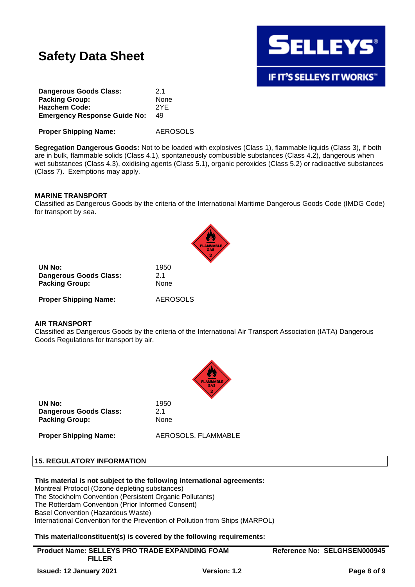

| Dangerous Goods Class:              | 21   |
|-------------------------------------|------|
| <b>Packing Group:</b>               | None |
| <b>Hazchem Code:</b>                | 2YF  |
| <b>Emergency Response Guide No:</b> | 49   |
|                                     |      |

**Proper Shipping Name:** AEROSOLS

**Segregation Dangerous Goods:** Not to be loaded with explosives (Class 1), flammable liquids (Class 3), if both are in bulk, flammable solids (Class 4.1), spontaneously combustible substances (Class 4.2), dangerous when wet substances (Class 4.3), oxidising agents (Class 5.1), organic peroxides (Class 5.2) or radioactive substances (Class 7). Exemptions may apply.

#### **MARINE TRANSPORT**

Classified as Dangerous Goods by the criteria of the International Maritime Dangerous Goods Code (IMDG Code) for transport by sea.

|                                                                  | FL                 |  |  |
|------------------------------------------------------------------|--------------------|--|--|
| UN No:<br><b>Dangerous Goods Class:</b><br><b>Packing Group:</b> | 1950<br>21<br>None |  |  |
| <b>Proper Shipping Name:</b>                                     | <b>AEROSOLS</b>    |  |  |

### **AIR TRANSPORT**

Classified as Dangerous Goods by the criteria of the International Air Transport Association (IATA) Dangerous Goods Regulations for transport by air.



**UN No:** 1950 **Dangerous Goods Class:** 2.1 Packing Group: None

**Proper Shipping Name:** AEROSOLS, FLAMMABLE

#### **15. REGULATORY INFORMATION**

#### **This material is not subject to the following international agreements:**

Montreal Protocol (Ozone depleting substances) The Stockholm Convention (Persistent Organic Pollutants) The Rotterdam Convention (Prior Informed Consent) Basel Convention (Hazardous Waste) International Convention for the Prevention of Pollution from Ships (MARPOL)

## **This material/constituent(s) is covered by the following requirements:**

**Product Name: SELLEYS PRO TRADE EXPANDING FOAM FILLER**

**Reference No: SELGHSEN000945**